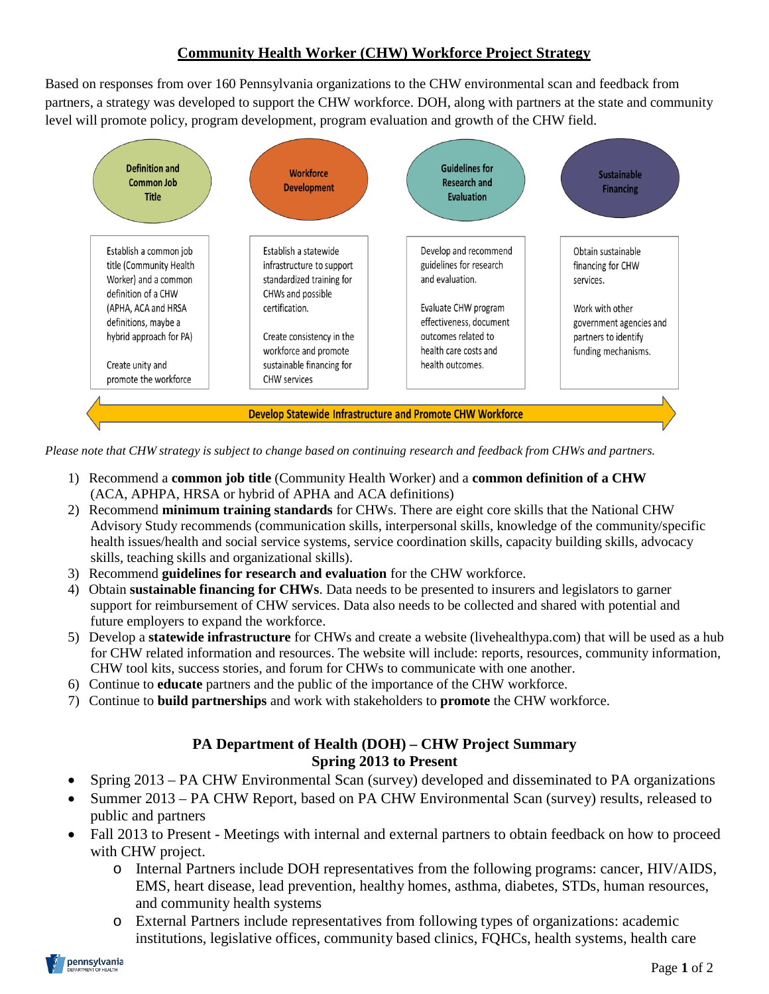## **Community Health Worker (CHW) Workforce Project Strategy**

Based on responses from over 160 Pennsylvania organizations to the CHW environmental scan and feedback from partners, a strategy was developed to support the CHW workforce. DOH, along with partners at the state and community level will promote policy, program development, program evaluation and growth of the CHW field.



Please note that CHW strategy is subject to change based on continuing research and feedback from CHWs and partners.

- 1) Recommend a **common job title** (Community Health Worker) and a **common definition of a CHW** (ACA, APHPA, HRSA or hybrid of APHA and ACA definitions)
- 2) Recommend **minimum training standards** for CHWs. There are eight core skills that the National CHW Advisory Study recommends (communication skills, interpersonal skills, knowledge of the community/specific health issues/health and social service systems, service coordination skills, capacity building skills, advocacy skills, teaching skills and organizational skills).
- 3) Recommend **guidelines for research and evaluation** for the CHW workforce.
- 4) Obtain **sustainable financing for CHWs**. Data needs to be presented to insurers and legislators to garner support for reimbursement of CHW services. Data also needs to be collected and shared with potential and future employers to expand the workforce.
- 5) Develop a **statewide infrastructure** for CHWs and create a website (livehealthypa.com) that will be used as a hub for CHW related information and resources. The website will include: reports, resources, community information, CHW tool kits, success stories, and forum for CHWs to communicate with one another.
- 6) Continue to **educate** partners and the public of the importance of the CHW workforce.
- 7) Continue to **build partnerships** and work with stakeholders to **promote** the CHW workforce.

## **PA Department of Health (DOH) – CHW Project Summary Spring 2013 to Present**

- Spring 2013 PA CHW Environmental Scan (survey) developed and disseminated to PA organizations
- Summer 2013 PA CHW Report, based on PA CHW Environmental Scan (survey) results, released to public and partners
- Fall 2013 to Present Meetings with internal and external partners to obtain feedback on how to proceed with CHW project.
	- o Internal Partners include DOH representatives from the following programs: cancer, HIV/AIDS, EMS, heart disease, lead prevention, healthy homes, asthma, diabetes, STDs, human resources, and community health systems
	- o External Partners include representatives from following types of organizations: academic institutions, legislative offices, community based clinics, FQHCs, health systems, health care